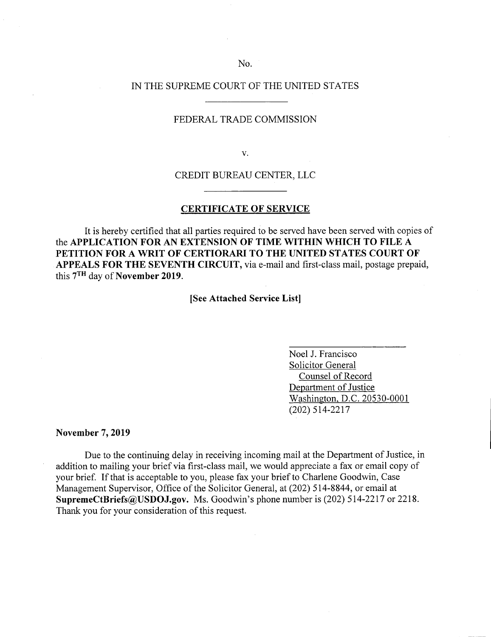## No.

#### IN THE SUPREME COURT OF THE UNITED STATES

## FEDERAL TRADE COMMISSION

V.

CREDIT BUREAU CENTER, LLC

#### **CERTIFICATE OF SERVICE**

It is hereby certified that all parties required to be served have been served with copies of **the APPLICATION FOR AN EXTENSION OF TIME WITHIN WHICH TO FILE A PETITION FOR A WRIT OF CERTIORARI TO THE UNITED STATES COURT OF APPEALS FOR THE SEVENTH CIRCUIT,** via e-mail and first-class mail, postage prepaid, this 7TH day of **November 2019.** 

**[See Attached Service List]** 

Noel J. Francisco Solicitor General Counsel of Record Department of Justice Washington, D.C. 20530-0001 (202) 514-2217

**November** 7, **2019** 

Due to the continuing delay in receiving incoming mail at the Department of Justice, in addition to mailing your brief via first-class mail, we would appreciate a fax or email copy of your brief. If that is acceptable to you, please fax your brief to Charlene Goodwin, Case Management Supervisor, Office of the Solicitor General, at (202) 514-8844, or email at **SupremeCtBriefs@USDOJ.gov.** Ms. Goodwin's phone number is (202) 514-2217 or 2218. Thank you for your consideration of this request.